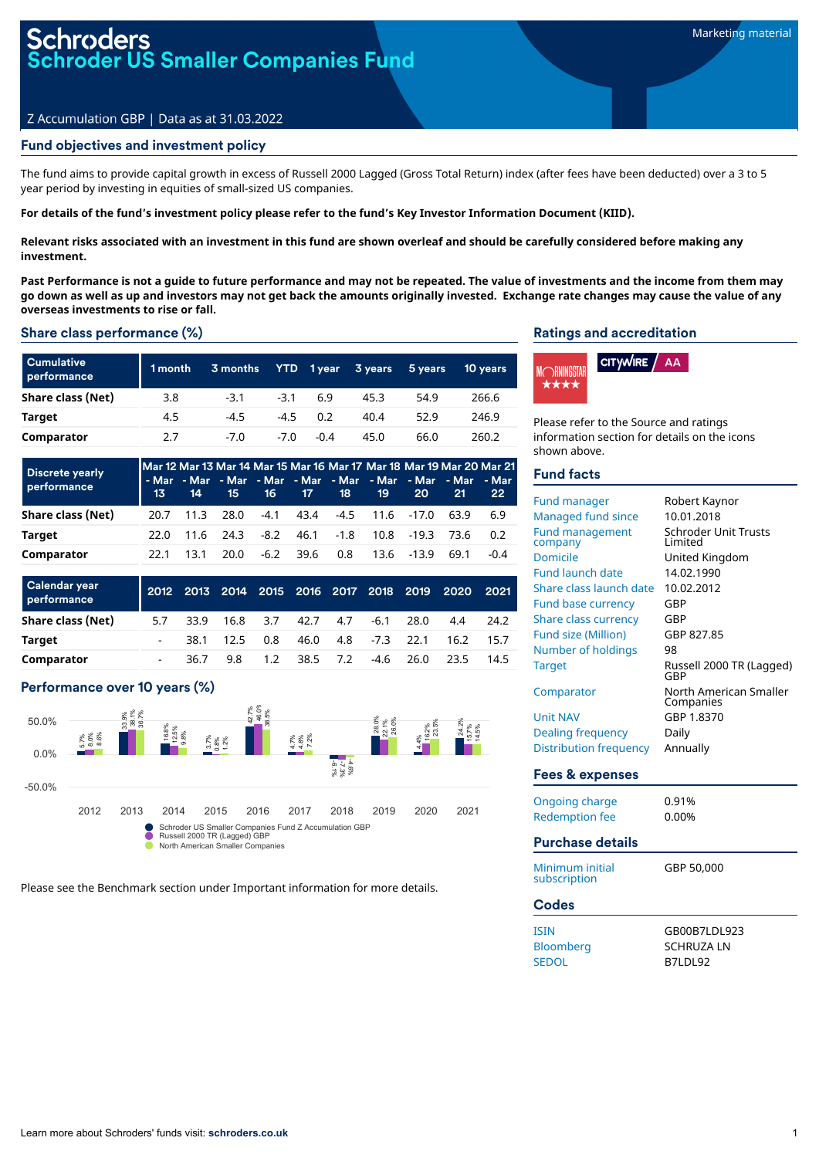# roders<br>oder US Smaller Companies Fu<mark>nd</mark>

## Z Accumulation GBP | Data as at 31.03.2022

## Fund objectives and investment policy

The fund aims to provide capital growth in excess of Russell 2000 Lagged (Gross Total Return) index (after fees have been deducted) over a 3 to 5 year period by investing in equities of small-sized US companies.

For details of the fund's investment policy please refer to the fund's Key Investor Information Document (KIID).

Relevant risks associated with an investment in this fund are shown overleaf and should be carefully considered before making any **investment.**

Past Performance is not a quide to future performance and may not be repeated. The value of investments and the income from them may go down as well as up and investors may not get back the amounts originally invested. Exchange rate changes may cause the value of any **overseas investments to rise or fall.**

## Share class performance (%)

| <b>Cumulative</b><br>performance | 1 month | 3 months | <b>YTD</b> | 1 year | 3 years | 5 years | <b>10 years</b> |
|----------------------------------|---------|----------|------------|--------|---------|---------|-----------------|
| Share class (Net)                | 3.8     | $-3.1$   | $-3.1$     | 6.9    | 45.3    | 54.9    | 266.6           |
| Target                           | 4.5     | $-4.5$   | $-4.5$     | 0.2    | 40.4    | 52.9    | 246.9           |
| Comparator                       | 2.7     | $-7.0$   | -7.0       | $-0.4$ | 45.0    | 66.0    | 260.2           |

| <b>Discrete yearly</b><br>performance | -13 - | - 14 | $-15$                |           | 16 17 18 | 19                        | <b>20</b> | Mar 12 Mar 13 Mar 14 Mar 15 Mar 16 Mar 17 Mar 18 Mar 19 Mar 20 Mar 21<br><u>- Mar - Mar - Mar - Mar - Mar - Mar - Mar - Mar - Mar - Mar</u><br>-21 | 22     |
|---------------------------------------|-------|------|----------------------|-----------|----------|---------------------------|-----------|----------------------------------------------------------------------------------------------------------------------------------------------------|--------|
| Share class (Net)                     | 20.7  | 11.3 | 28.0                 |           |          | -4.1 43.4 -4.5 11.6 -17.0 |           | 63.9                                                                                                                                               | 6.9    |
| Target                                | 22.O  |      | $11.6$ $24.3$ $-8.2$ |           |          | 46.1 -1.8 10.8 -19.3 73.6 |           |                                                                                                                                                    | 0.2    |
| Comparator                            | 22.1  | 13.1 | 20.0                 | -6.2 39.6 | 0.8      | 13.6 -13.9                |           | 69.1                                                                                                                                               | $-0.4$ |

| <b>Calendar year</b><br>performance |                          |      |      |     |                  |     |                    | 2012 2013 2014 2015 2016 2017 2018 2019 | 2020 2021 |      |
|-------------------------------------|--------------------------|------|------|-----|------------------|-----|--------------------|-----------------------------------------|-----------|------|
| Share class (Net)                   | 5.7                      | 33.9 | 16.8 | 3.7 | 42.7             | 4.7 | -6.1               | 28.0                                    | 4.4       | 24.2 |
| Target                              |                          | 38.1 | 12.5 | 0.8 |                  |     | 46.0 4.8 -7.3 22.1 |                                         | 16.2      | 15.7 |
| Comparator                          | $\overline{\phantom{0}}$ | 36.7 | 9.8  |     | $1.2 \quad 38.5$ | 7.2 |                    | $-4.6$ 26.0                             | 23.5      | 14.5 |

## Performance over 10 years (%)



Please see the Benchmark section under Important information for more details.

#### Ratings and accreditation



Please refer to the Source and ratings information section for details on the icons shown above.

## Fund facts

| Fund manager<br>Managed fund since<br><b>Fund management</b><br>company<br>Domicile<br><b>Fund launch date</b><br>Share class launch date<br><b>Fund base currency</b><br><b>Share class currency</b><br><b>Fund size (Million)</b><br>Number of holdings<br><b>Target</b><br>Comparator<br><b>Unit NAV</b><br><b>Dealing frequency</b><br><b>Distribution frequency</b> | Robert Kaynor<br>10.01.2018<br><b>Schroder Unit Trusts</b><br>I imited<br>United Kingdom<br>14.02.1990<br>10.02.2012<br>GBP<br>GBP<br>GBP 827.85<br>98<br>Russell 2000 TR (Lagged)<br>GBP<br>North American Smaller<br>Companies<br>GBP 1.8370<br>Daily<br>Annually |
|--------------------------------------------------------------------------------------------------------------------------------------------------------------------------------------------------------------------------------------------------------------------------------------------------------------------------------------------------------------------------|---------------------------------------------------------------------------------------------------------------------------------------------------------------------------------------------------------------------------------------------------------------------|
| <b>Fees &amp; expenses</b>                                                                                                                                                                                                                                                                                                                                               |                                                                                                                                                                                                                                                                     |
| <b>Ongoing charge</b><br><b>Redemption fee</b><br><b>Purchase details</b>                                                                                                                                                                                                                                                                                                | 0.91%<br>0.00%                                                                                                                                                                                                                                                      |
| Minimum initial<br>subscription                                                                                                                                                                                                                                                                                                                                          | GBP 50,000                                                                                                                                                                                                                                                          |
| <b>Codes</b>                                                                                                                                                                                                                                                                                                                                                             |                                                                                                                                                                                                                                                                     |
| <b>ISIN</b><br>Bloomberg<br><b>SEDOL</b>                                                                                                                                                                                                                                                                                                                                 | GB00B7LDL923<br><b>SCHRUZA LN</b><br>B7LDL92                                                                                                                                                                                                                        |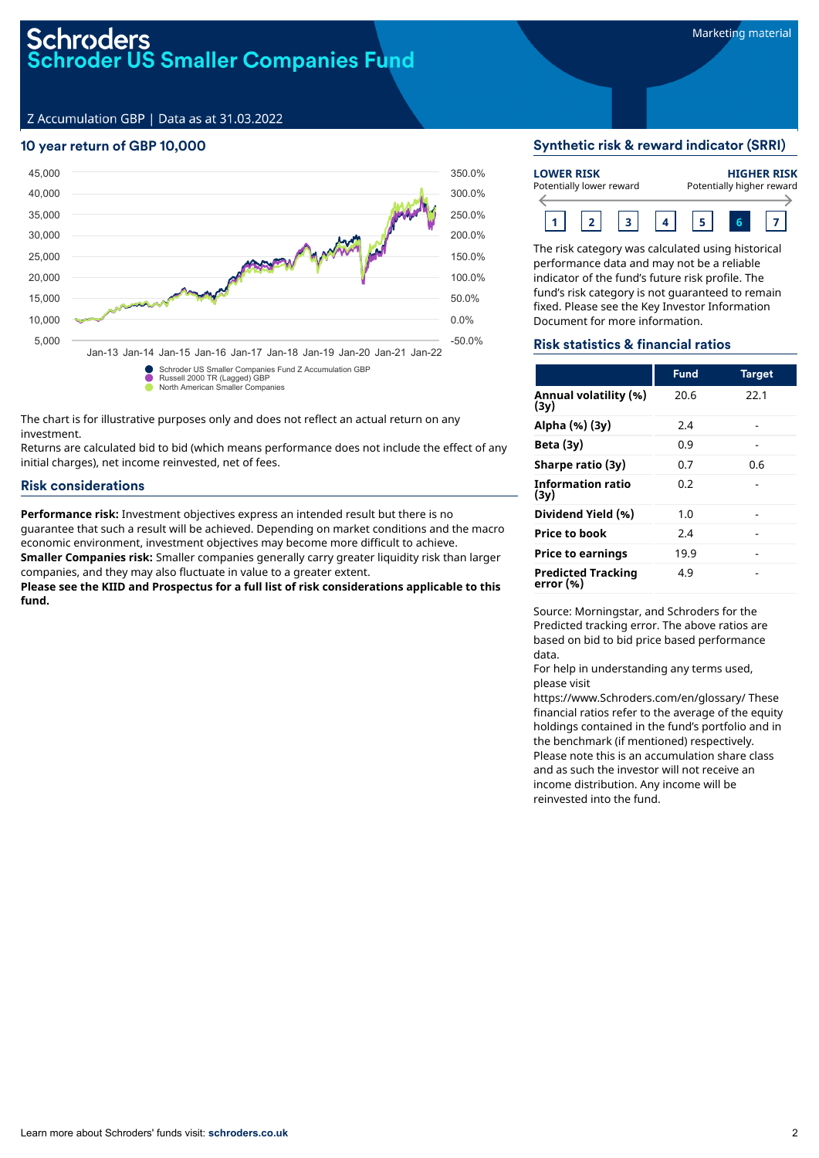## Schroders<br>Schroder US Smaller Companies Fund

Z Accumulation GBP | Data as at 31.03.2022

## 10 year return of GBP 10,000



The chart is for illustrative purposes only and does not reflect an actual return on any investment.

Returns are calculated bid to bid (which means performance does not include the effect of any initial charges), net income reinvested, net of fees.

## Risk considerations

**Performance risk:** Investment objectives express an intended result but there is no guarantee that such a result will be achieved. Depending on market conditions and the macro economic environment, investment objectives may become more difficult to achieve. **Smaller Companies risk:** Smaller companies generally carry greater liquidity risk than larger

companies, and they may also fluctuate in value to a greater extent. **Please see the KIID and Prospectus for a full list of risk considerations applicable to this fund.**

## Synthetic risk & reward indicator (SRRI)

| <b>LOWER RISK</b><br>Potentially lower reward |  |  |  |  | <b>HIGHER RISK</b><br>Potentially higher reward |
|-----------------------------------------------|--|--|--|--|-------------------------------------------------|
|                                               |  |  |  |  |                                                 |

The risk category was calculated using historical performance data and may not be a reliable indicator of the fund's future risk profile. The fund's risk category is not guaranteed to remain fixed. Please see the Key Investor Information Document for more information.

## Risk statistics & financial ratios

|                                        | <b>Fund</b> | <b>Target</b> |
|----------------------------------------|-------------|---------------|
| Annual volatility (%)<br>(3v)          | 20.6        | 22.1          |
| Alpha (%) (3y)                         | 2.4         |               |
| Beta $(3y)$                            | 0.9         |               |
| Sharpe ratio (3y)                      | 0.7         | 0.6           |
| <b>Information ratio</b><br>(3v)       | 0.2         |               |
| Dividend Yield (%)                     | 1.0         |               |
| <b>Price to book</b>                   | 2.4         |               |
| <b>Price to earnings</b>               | 19.9        |               |
| <b>Predicted Tracking</b><br>error (%) | 4.9         |               |

Source: Morningstar, and Schroders for the Predicted tracking error. The above ratios are based on bid to bid price based performance data.

For help in understanding any terms used, please visit

https://www.Schroders.com/en/glossary/ These financial ratios refer to the average of the equity holdings contained in the fund's portfolio and in the benchmark (if mentioned) respectively. Please note this is an accumulation share class and as such the investor will not receive an income distribution. Any income will be reinvested into the fund.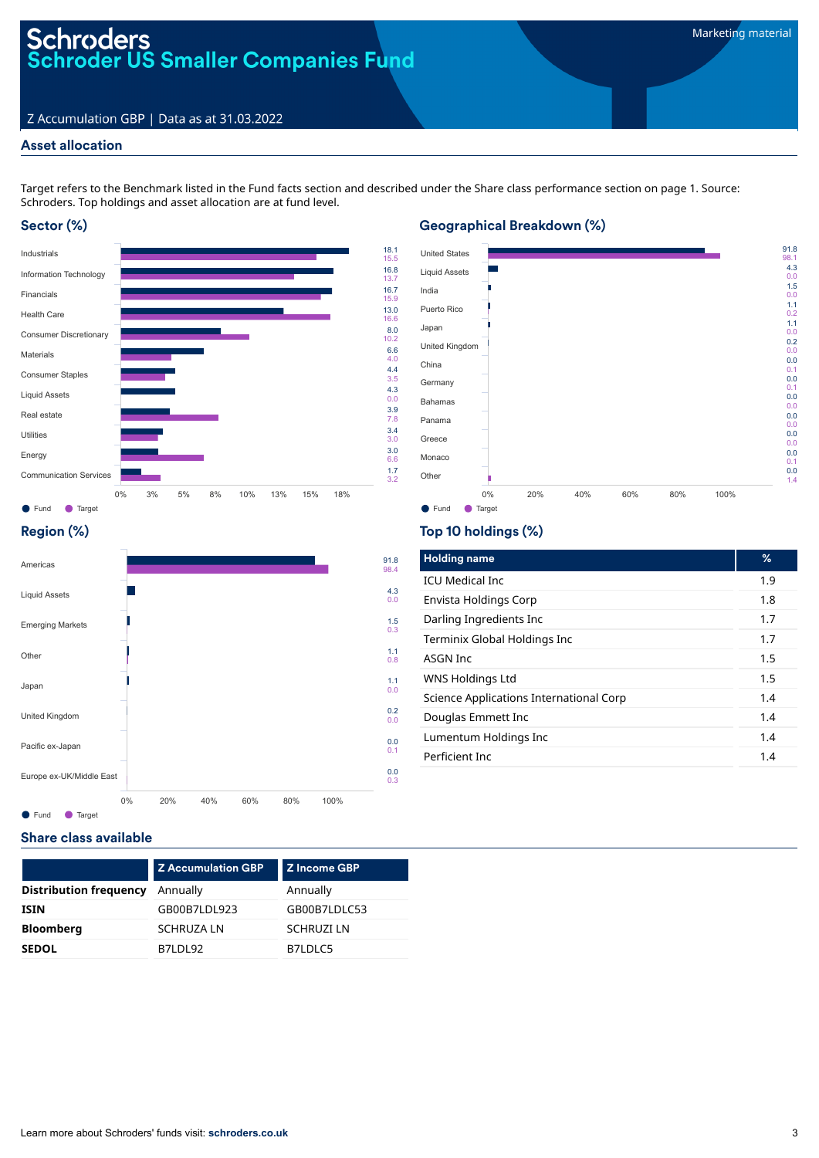## Z Accumulation GBP | Data as at 31.03.2022

## Asset allocation

Target refers to the Benchmark listed in the Fund facts section and described under the Share class performance section on page 1. Source: Schroders. Top holdings and asset allocation are at fund level.

## Sector (%)



## Geographical Breakdown (%)



## Region (%)



## Top 10 holdings (%)

| <b>Holding name</b>                     | %   |
|-----------------------------------------|-----|
| <b>ICU Medical Inc.</b>                 | 1.9 |
| Envista Holdings Corp                   | 1.8 |
| Darling Ingredients Inc                 | 1.7 |
| Terminix Global Holdings Inc            | 1.7 |
| ASGN Inc                                | 1.5 |
| WNS Holdings Ltd                        | 1.5 |
| Science Applications International Corp | 1.4 |
| Douglas Emmett Inc                      | 1.4 |
| Lumentum Holdings Inc                   | 1.4 |
| Perficient Inc.                         | 1.4 |

## Share class available

|                               | <b>Z Accumulation GBP</b> | <b>Z</b> Income GBP |
|-------------------------------|---------------------------|---------------------|
| <b>Distribution frequency</b> | Annually                  | Annually            |
| <b>ISIN</b>                   | GB00B7LDL923              | GB00B7LDLC53        |
| <b>Bloomberg</b>              | <b>SCHRUZA LN</b>         | <b>SCHRUZI LN</b>   |
| <b>SEDOL</b>                  | B7LDL92                   | B7LDLC5             |